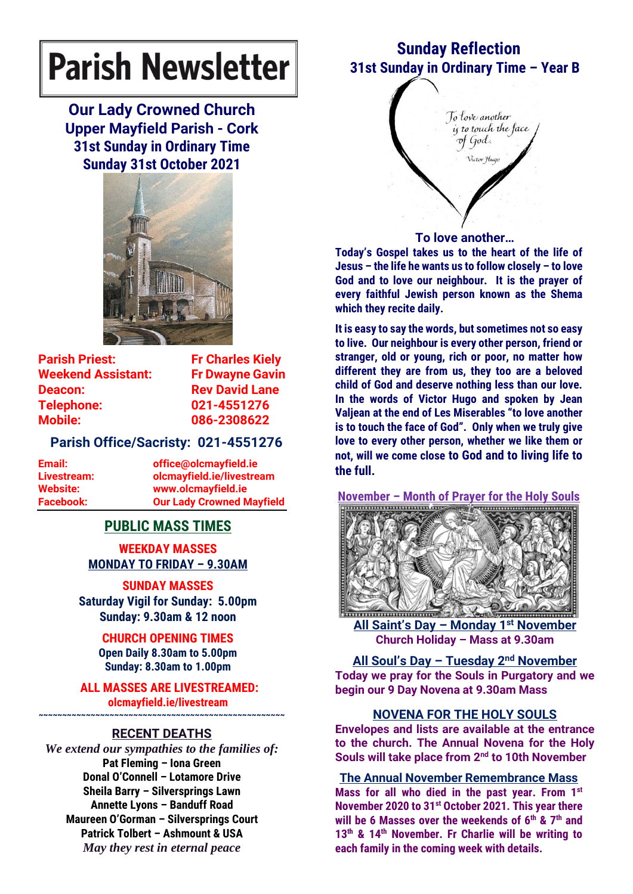# **Parish Newsletter**

**Our Lady Crowned Church Upper Mayfield Parish - Cork 31st Sunday in Ordinary Time Sunday 31st October 2021**



**Parish Priest:** Fr Charles Kiely **Weekend Assistant: Fr Dwayne Gavin Deacon:** Rev David Lane **Telephone: 021-4551276 Mobile: 086-2308622** 

# **Parish Office/Sacristy: 021-4551276**

**Email: office@olcmayfield.ie Livestream: olcmayfield.ie/livestream Website: www.olcmayfield.ie Facebook: Our Lady Crowned Mayfield**

# **PUBLIC MASS TIMES**

**WEEKDAY MASSES MONDAY TO FRIDAY – 9.30AM**

**SUNDAY MASSES Saturday Vigil for Sunday: 5.00pm Sunday: 9.30am & 12 noon**

# **CHURCH OPENING TIMES**

**Open Daily 8.30am to 5.00pm Sunday: 8.30am to 1.00pm** 

**ALL MASSES ARE LIVESTREAMED: olcmayfield.ie/livestream**

# **~~~~~~~~~~~~~~~~~~~~~~~~~~~~~~~~~~~~~~~~~~~~~~~~~~~~ RECENT DEATHS**

*We extend our sympathies to the families of:* **Pat Fleming – Iona Green Donal O'Connell – Lotamore Drive Sheila Barry – Silversprings Lawn Annette Lyons – Banduff Road Maureen O'Gorman – Silversprings Court Patrick Tolbert – Ashmount & USA** *May they rest in eternal peace*

# **Sunday Reflection 31st Sunday in Ordinary Time – Year B**

To love another is to touch the face of God. Victor Hugo **To love another…**

**Today's Gospel takes us to the heart of the life of Jesus – the life he wants us to follow closely – to love God and to love our neighbour. It is the prayer of every faithful Jewish person known as the Shema which they recite daily.**

**It is easy to say the words, but sometimes not so easy to live. Our neighbour is every other person, friend or stranger, old or young, rich or poor, no matter how different they are from us, they too are a beloved child of God and deserve nothing less than our love. In the words of Victor Hugo and spoken by Jean Valjean at the end of Les Miserables "to love another is to touch the face of God". Only when we truly give love to every other person, whether we like them or not, will we come close to God and to living life to the full.**

**November – Month of Prayer for the Holy Souls**



**All Saint's Day – Monday 1 st November Church Holiday – Mass at 9.30am**

**All Soul's Day – Tuesday 2 nd November Today we pray for the Souls in Purgatory and we begin our 9 Day Novena at 9.30am Mass**

#### **NOVENA FOR THE HOLY SOULS**

**Envelopes and lists are available at the entrance to the church. The Annual Novena for the Holy Souls will take place from 2nd to 10th November**

#### **The Annual November Remembrance Mass**

**Mass for all who died in the past year. From 1st November 2020 to 31st October 2021. This year there will be 6 Masses over the weekends of 6th & 7th and 13th & 14th November. Fr Charlie will be writing to each family in the coming week with details.**